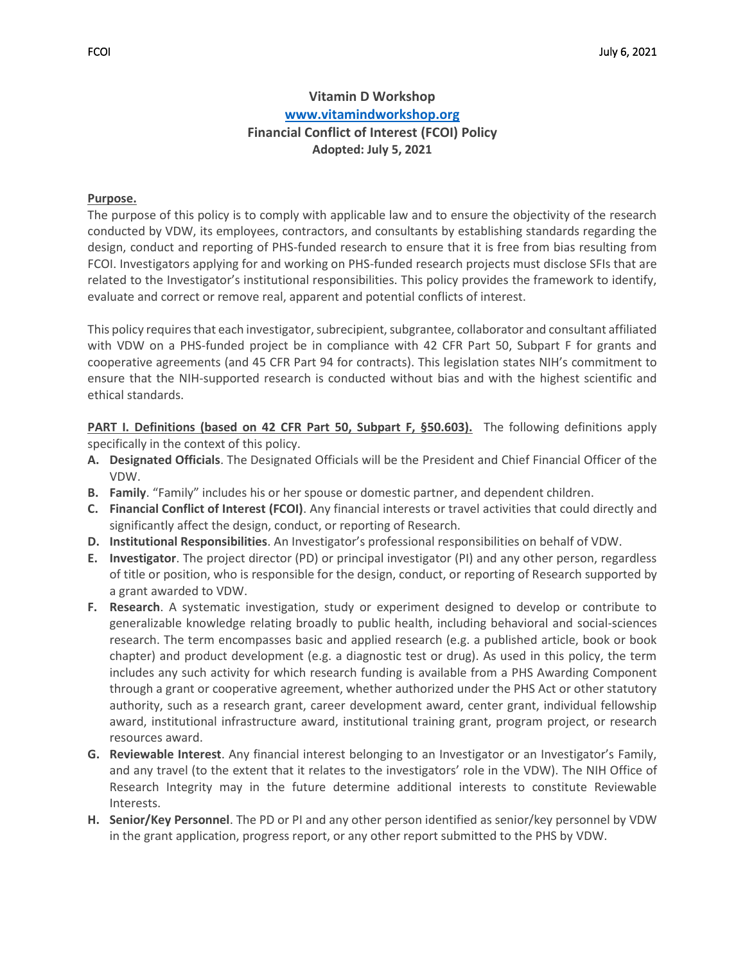# **Vitamin D Workshop [www.vitamindworkshop.org](http://www.vitamindworkshop.org/) Financial Conflict of Interest (FCOI) Policy Adopted: July 5, 2021**

#### **Purpose.**

The purpose of this policy is to comply with applicable law and to ensure the objectivity of the research conducted by VDW, its employees, contractors, and consultants by establishing standards regarding the design, conduct and reporting of PHS-funded research to ensure that it is free from bias resulting from FCOI. Investigators applying for and working on PHS-funded research projects must disclose SFIs that are related to the Investigator's institutional responsibilities. This policy provides the framework to identify, evaluate and correct or remove real, apparent and potential conflicts of interest.

This policy requires that each investigator, subrecipient, subgrantee, collaborator and consultant affiliated with VDW on a PHS-funded project be in compliance with 42 CFR Part 50, Subpart F for grants and cooperative agreements (and 45 CFR Part 94 for contracts). This legislation states NIH's commitment to ensure that the NIH-supported research is conducted without bias and with the highest scientific and ethical standards.

**PART I. Definitions (based on 42 CFR Part 50, Subpart F, §50.603).** The following definitions apply specifically in the context of this policy.

- **A. Designated Officials**. The Designated Officials will be the President and Chief Financial Officer of the VDW.
- **B. Family**. "Family" includes his or her spouse or domestic partner, and dependent children.
- **C. Financial Conflict of Interest (FCOI)**. Any financial interests or travel activities that could directly and significantly affect the design, conduct, or reporting of Research.
- **D. Institutional Responsibilities**. An Investigator's professional responsibilities on behalf of VDW.
- **E. Investigator**. The project director (PD) or principal investigator (PI) and any other person, regardless of title or position, who is responsible for the design, conduct, or reporting of Research supported by a grant awarded to VDW.
- **F. Research**. A systematic investigation, study or experiment designed to develop or contribute to generalizable knowledge relating broadly to public health, including behavioral and social-sciences research. The term encompasses basic and applied research (e.g. a published article, book or book chapter) and product development (e.g. a diagnostic test or drug). As used in this policy, the term includes any such activity for which research funding is available from a PHS Awarding Component through a grant or cooperative agreement, whether authorized under the PHS Act or other statutory authority, such as a research grant, career development award, center grant, individual fellowship award, institutional infrastructure award, institutional training grant, program project, or research resources award.
- **G. Reviewable Interest**. Any financial interest belonging to an Investigator or an Investigator's Family, and any travel (to the extent that it relates to the investigators' role in the VDW). The NIH Office of Research Integrity may in the future determine additional interests to constitute Reviewable Interests.
- **H. Senior/Key Personnel**. The PD or PI and any other person identified as senior/key personnel by VDW in the grant application, progress report, or any other report submitted to the PHS by VDW.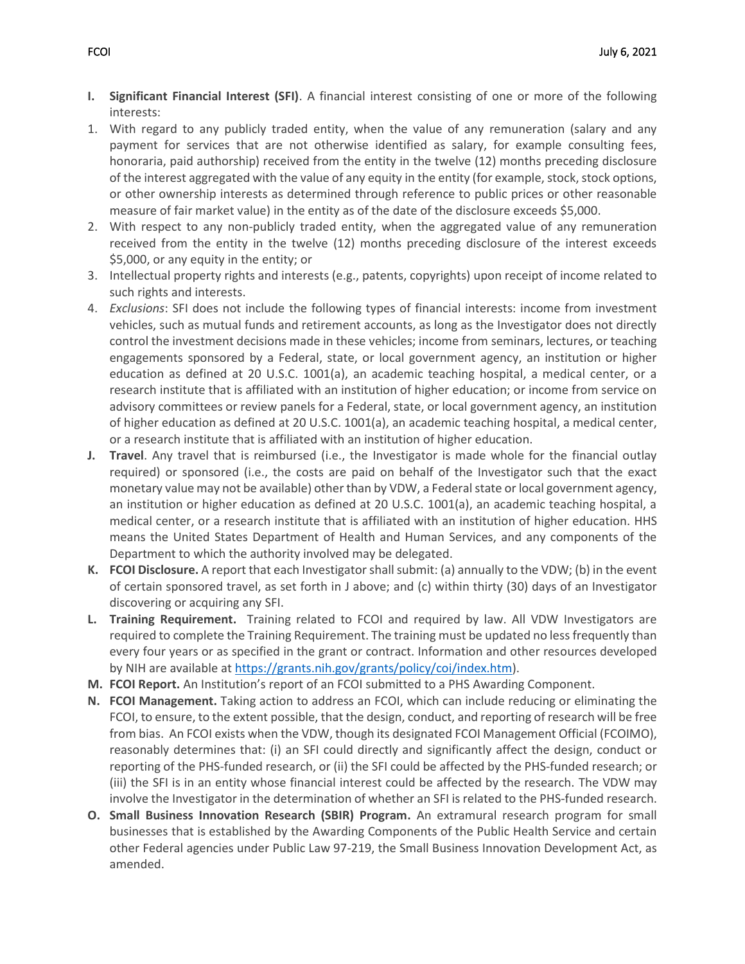- **I. Significant Financial Interest (SFI)**. A financial interest consisting of one or more of the following interests:
- 1. With regard to any publicly traded entity, when the value of any remuneration (salary and any payment for services that are not otherwise identified as salary, for example consulting fees, honoraria, paid authorship) received from the entity in the twelve (12) months preceding disclosure of the interest aggregated with the value of any equity in the entity (for example, stock, stock options, or other ownership interests as determined through reference to public prices or other reasonable measure of fair market value) in the entity as of the date of the disclosure exceeds \$5,000.
- 2. With respect to any non-publicly traded entity, when the aggregated value of any remuneration received from the entity in the twelve (12) months preceding disclosure of the interest exceeds \$5,000, or any equity in the entity; or
- 3. Intellectual property rights and interests (e.g., patents, copyrights) upon receipt of income related to such rights and interests.
- 4. *Exclusions*: SFI does not include the following types of financial interests: income from investment vehicles, such as mutual funds and retirement accounts, as long as the Investigator does not directly control the investment decisions made in these vehicles; income from seminars, lectures, or teaching engagements sponsored by a Federal, state, or local government agency, an institution or higher education as defined at 20 U.S.C. 1001(a), an academic teaching hospital, a medical center, or a research institute that is affiliated with an institution of higher education; or income from service on advisory committees or review panels for a Federal, state, or local government agency, an institution of higher education as defined at 20 U.S.C. 1001(a), an academic teaching hospital, a medical center, or a research institute that is affiliated with an institution of higher education.
- **J. Travel**. Any travel that is reimbursed (i.e., the Investigator is made whole for the financial outlay required) or sponsored (i.e., the costs are paid on behalf of the Investigator such that the exact monetary value may not be available) other than by VDW, a Federal state or local government agency, an institution or higher education as defined at 20 U.S.C. 1001(a), an academic teaching hospital, a medical center, or a research institute that is affiliated with an institution of higher education. HHS means the United States Department of Health and Human Services, and any components of the Department to which the authority involved may be delegated.
- **K. FCOI Disclosure.** A report that each Investigator shall submit: (a) annually to the VDW; (b) in the event of certain sponsored travel, as set forth in J above; and (c) within thirty (30) days of an Investigator discovering or acquiring any SFI.
- **L. Training Requirement.** Training related to FCOI and required by law. All VDW Investigators are required to complete the Training Requirement. The training must be updated no less frequently than every four years or as specified in the grant or contract. Information and other resources developed by NIH are available at [https://grants.nih.gov/grants/policy/coi/index.htm\)](https://grants.nih.gov/grants/policy/coi/index.htm).
- **M. FCOI Report.** An Institution's report of an FCOI submitted to a PHS Awarding Component.
- **N. FCOI Management.** Taking action to address an FCOI, which can include reducing or eliminating the FCOI, to ensure, to the extent possible, that the design, conduct, and reporting of research will be free from bias. An FCOI exists when the VDW, though its designated FCOI Management Official (FCOIMO), reasonably determines that: (i) an SFI could directly and significantly affect the design, conduct or reporting of the PHS-funded research, or (ii) the SFI could be affected by the PHS-funded research; or (iii) the SFI is in an entity whose financial interest could be affected by the research. The VDW may involve the Investigator in the determination of whether an SFI is related to the PHS-funded research.
- **O. Small Business Innovation Research (SBIR) Program.** An extramural research program for small businesses that is established by the Awarding Components of the Public Health Service and certain other Federal agencies under Public Law 97-219, the Small Business Innovation Development Act, as amended.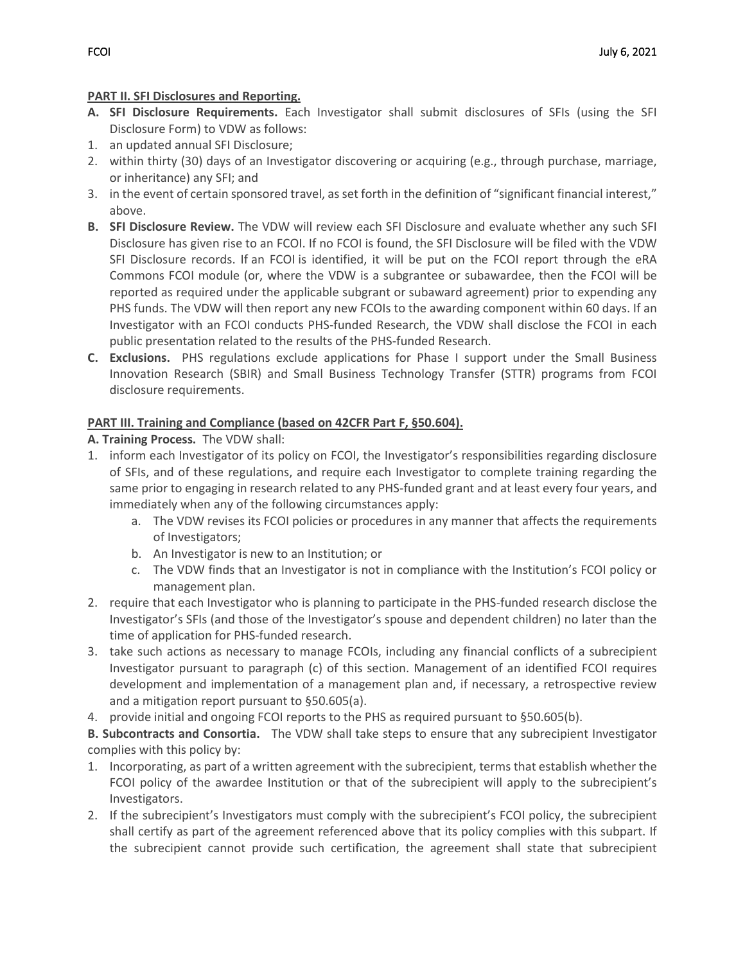### **PART II. SFI Disclosures and Reporting.**

- **A. SFI Disclosure Requirements.** Each Investigator shall submit disclosures of SFIs (using the SFI Disclosure Form) to VDW as follows:
- 1. an updated annual SFI Disclosure;
- 2. within thirty (30) days of an Investigator discovering or acquiring (e.g., through purchase, marriage, or inheritance) any SFI; and
- 3. in the event of certain sponsored travel, as set forth in the definition of "significant financial interest," above.
- **B. SFI Disclosure Review.** The VDW will review each SFI Disclosure and evaluate whether any such SFI Disclosure has given rise to an FCOI. If no FCOI is found, the SFI Disclosure will be filed with the VDW SFI Disclosure records. If an FCOI is identified, it will be put on the FCOI report through the eRA Commons FCOI module (or, where the VDW is a subgrantee or subawardee, then the FCOI will be reported as required under the applicable subgrant or subaward agreement) prior to expending any PHS funds. The VDW will then report any new FCOIs to the awarding component within 60 days. If an Investigator with an FCOI conducts PHS-funded Research, the VDW shall disclose the FCOI in each public presentation related to the results of the PHS-funded Research.
- **C. Exclusions.** PHS regulations exclude applications for Phase I support under the Small Business Innovation Research (SBIR) and Small Business Technology Transfer (STTR) programs from FCOI disclosure requirements.

## **PART III. Training and Compliance (based on 42CFR Part F, §50.604).**

## **A. Training Process.** The VDW shall:

- 1. inform each Investigator of its policy on FCOI, the Investigator's responsibilities regarding disclosure of SFIs, and of these regulations, and require each Investigator to complete training regarding the same prior to engaging in research related to any PHS-funded grant and at least every four years, and immediately when any of the following circumstances apply:
	- a. The VDW revises its FCOI policies or procedures in any manner that affects the requirements of Investigators;
	- b. An Investigator is new to an Institution; or
	- c. The VDW finds that an Investigator is not in compliance with the Institution's FCOI policy or management plan.
- 2. require that each Investigator who is planning to participate in the PHS-funded research disclose the Investigator's SFIs (and those of the Investigator's spouse and dependent children) no later than the time of application for PHS-funded research.
- 3. take such actions as necessary to manage FCOIs, including any financial conflicts of a subrecipient Investigator pursuant to paragraph (c) of this section. Management of an identified FCOI requires development and implementation of a management plan and, if necessary, a retrospective review and a mitigation report pursuant to §50.605(a).
- 4. provide initial and ongoing FCOI reports to the PHS as required pursuant to §50.605(b).

**B. Subcontracts and Consortia.** The VDW shall take steps to ensure that any subrecipient Investigator complies with this policy by:

- 1. Incorporating, as part of a written agreement with the subrecipient, terms that establish whether the FCOI policy of the awardee Institution or that of the subrecipient will apply to the subrecipient's Investigators.
- 2. If the subrecipient's Investigators must comply with the subrecipient's FCOI policy, the subrecipient shall certify as part of the agreement referenced above that its policy complies with this subpart. If the subrecipient cannot provide such certification, the agreement shall state that subrecipient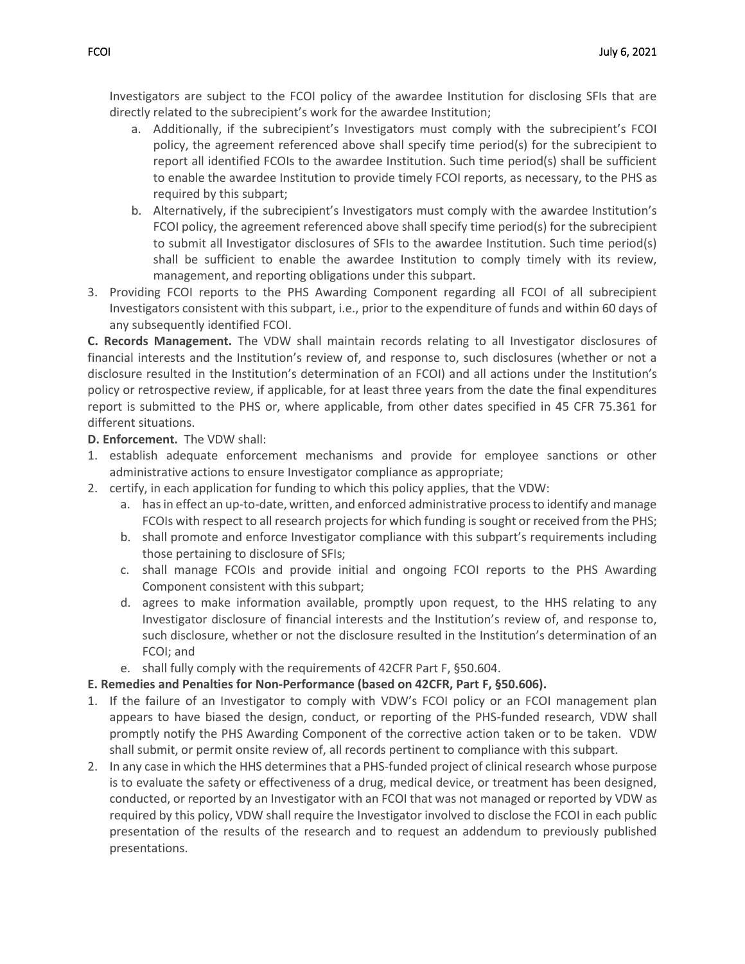Investigators are subject to the FCOI policy of the awardee Institution for disclosing SFIs that are directly related to the subrecipient's work for the awardee Institution;

- a. Additionally, if the subrecipient's Investigators must comply with the subrecipient's FCOI policy, the agreement referenced above shall specify time period(s) for the subrecipient to report all identified FCOIs to the awardee Institution. Such time period(s) shall be sufficient to enable the awardee Institution to provide timely FCOI reports, as necessary, to the PHS as required by this subpart;
- b. Alternatively, if the subrecipient's Investigators must comply with the awardee Institution's FCOI policy, the agreement referenced above shall specify time period(s) for the subrecipient to submit all Investigator disclosures of SFIs to the awardee Institution. Such time period(s) shall be sufficient to enable the awardee Institution to comply timely with its review, management, and reporting obligations under this subpart.
- 3. Providing FCOI reports to the PHS Awarding Component regarding all FCOI of all subrecipient Investigators consistent with this subpart, i.e., prior to the expenditure of funds and within 60 days of any subsequently identified FCOI.

**C. Records Management.** The VDW shall maintain records relating to all Investigator disclosures of financial interests and the Institution's review of, and response to, such disclosures (whether or not a disclosure resulted in the Institution's determination of an FCOI) and all actions under the Institution's policy or retrospective review, if applicable, for at least three years from the date the final expenditures report is submitted to the PHS or, where applicable, from other dates specified in 45 CFR 75.361 for different situations.

**D. Enforcement.** The VDW shall:

- 1. establish adequate enforcement mechanisms and provide for employee sanctions or other administrative actions to ensure Investigator compliance as appropriate;
- 2. certify, in each application for funding to which this policy applies, that the VDW:
	- a. has in effect an up-to-date, written, and enforced administrative process to identify and manage FCOIs with respect to all research projects for which funding is sought or received from the PHS;
	- b. shall promote and enforce Investigator compliance with this subpart's requirements including those pertaining to disclosure of SFIs;
	- c. shall manage FCOIs and provide initial and ongoing FCOI reports to the PHS Awarding Component consistent with this subpart;
	- d. agrees to make information available, promptly upon request, to the HHS relating to any Investigator disclosure of financial interests and the Institution's review of, and response to, such disclosure, whether or not the disclosure resulted in the Institution's determination of an FCOI; and
	- e. shall fully comply with the requirements of 42CFR Part F, §50.604.

### **E. Remedies and Penalties for Non-Performance (based on 42CFR, Part F, §50.606).**

- 1. If the failure of an Investigator to comply with VDW's FCOI policy or an FCOI management plan appears to have biased the design, conduct, or reporting of the PHS-funded research, VDW shall promptly notify the PHS Awarding Component of the corrective action taken or to be taken. VDW shall submit, or permit onsite review of, all records pertinent to compliance with this subpart.
- 2. In any case in which the HHS determines that a PHS-funded project of clinical research whose purpose is to evaluate the safety or effectiveness of a drug, medical device, or treatment has been designed, conducted, or reported by an Investigator with an FCOI that was not managed or reported by VDW as required by this policy, VDW shall require the Investigator involved to disclose the FCOI in each public presentation of the results of the research and to request an addendum to previously published presentations.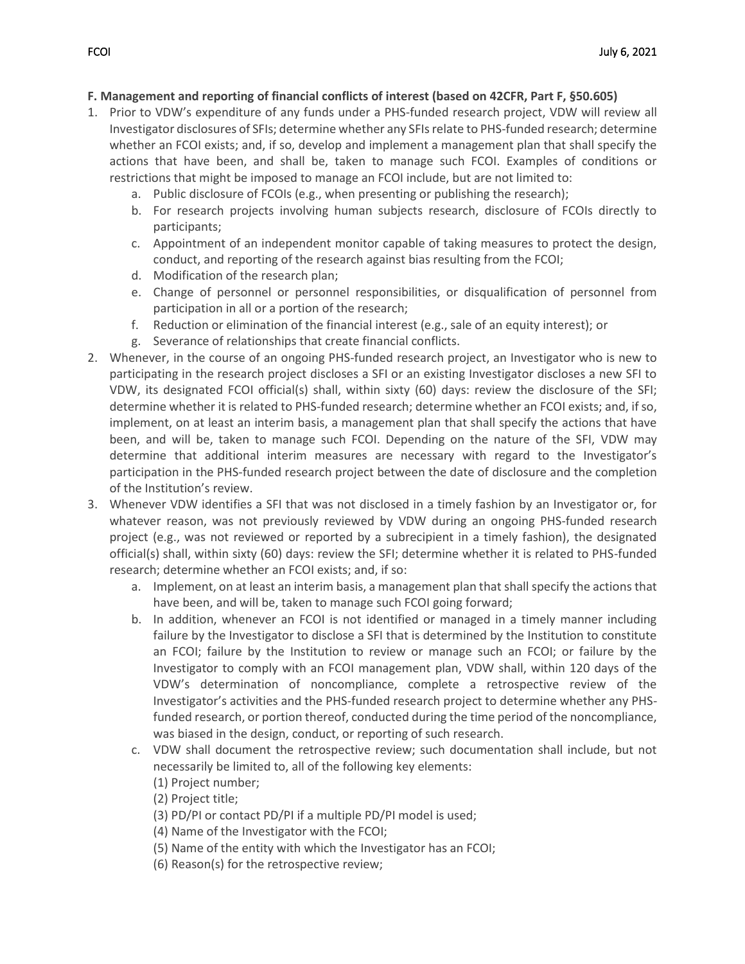### **F. Management and reporting of financial conflicts of interest (based on 42CFR, Part F, §50.605)**

- 1. Prior to VDW's expenditure of any funds under a PHS-funded research project, VDW will review all Investigator disclosures of SFIs; determine whether any SFIs relate to PHS-funded research; determine whether an FCOI exists; and, if so, develop and implement a management plan that shall specify the actions that have been, and shall be, taken to manage such FCOI. Examples of conditions or restrictions that might be imposed to manage an FCOI include, but are not limited to:
	- a. Public disclosure of FCOIs (e.g., when presenting or publishing the research);
	- b. For research projects involving human subjects research, disclosure of FCOIs directly to participants;
	- c. Appointment of an independent monitor capable of taking measures to protect the design, conduct, and reporting of the research against bias resulting from the FCOI;
	- d. Modification of the research plan;
	- e. Change of personnel or personnel responsibilities, or disqualification of personnel from participation in all or a portion of the research;
	- f. Reduction or elimination of the financial interest (e.g., sale of an equity interest); or
	- g. Severance of relationships that create financial conflicts.
- 2. Whenever, in the course of an ongoing PHS-funded research project, an Investigator who is new to participating in the research project discloses a SFI or an existing Investigator discloses a new SFI to VDW, its designated FCOI official(s) shall, within sixty (60) days: review the disclosure of the SFI; determine whether it is related to PHS-funded research; determine whether an FCOI exists; and, if so, implement, on at least an interim basis, a management plan that shall specify the actions that have been, and will be, taken to manage such FCOI. Depending on the nature of the SFI, VDW may determine that additional interim measures are necessary with regard to the Investigator's participation in the PHS-funded research project between the date of disclosure and the completion of the Institution's review.
- 3. Whenever VDW identifies a SFI that was not disclosed in a timely fashion by an Investigator or, for whatever reason, was not previously reviewed by VDW during an ongoing PHS-funded research project (e.g., was not reviewed or reported by a subrecipient in a timely fashion), the designated official(s) shall, within sixty (60) days: review the SFI; determine whether it is related to PHS-funded research; determine whether an FCOI exists; and, if so:
	- a. Implement, on at least an interim basis, a management plan that shall specify the actions that have been, and will be, taken to manage such FCOI going forward;
	- b. In addition, whenever an FCOI is not identified or managed in a timely manner including failure by the Investigator to disclose a SFI that is determined by the Institution to constitute an FCOI; failure by the Institution to review or manage such an FCOI; or failure by the Investigator to comply with an FCOI management plan, VDW shall, within 120 days of the VDW's determination of noncompliance, complete a retrospective review of the Investigator's activities and the PHS-funded research project to determine whether any PHSfunded research, or portion thereof, conducted during the time period of the noncompliance, was biased in the design, conduct, or reporting of such research.
	- c. VDW shall document the retrospective review; such documentation shall include, but not necessarily be limited to, all of the following key elements:
		- (1) Project number;

(2) Project title;

- (3) PD/PI or contact PD/PI if a multiple PD/PI model is used;
- (4) Name of the Investigator with the FCOI;
- (5) Name of the entity with which the Investigator has an FCOI;
- (6) Reason(s) for the retrospective review;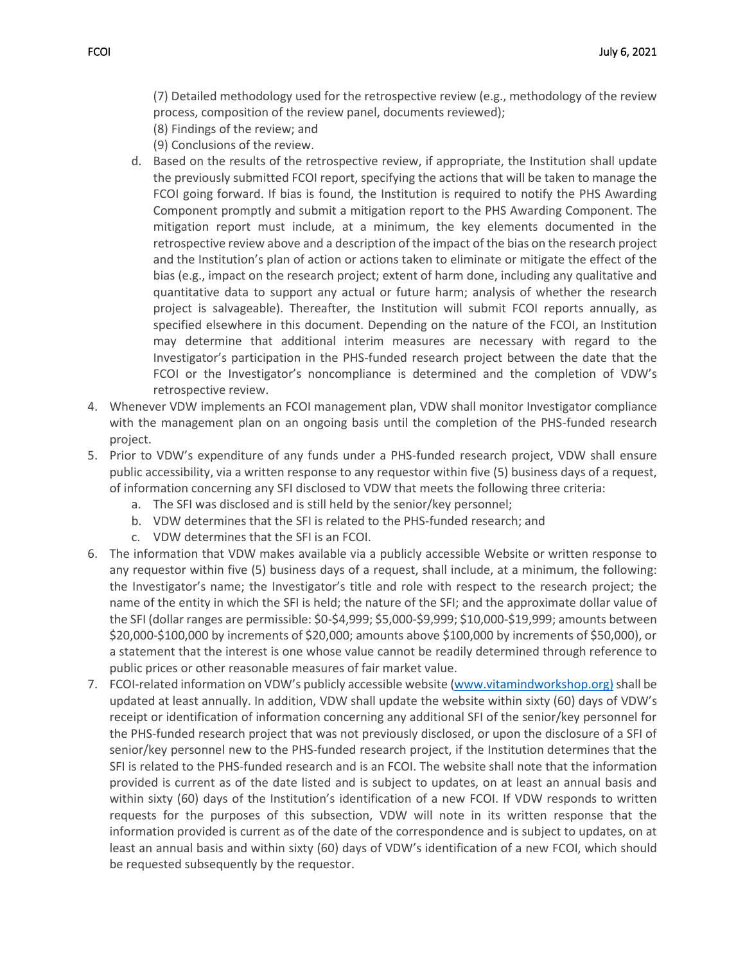(7) Detailed methodology used for the retrospective review (e.g., methodology of the review process, composition of the review panel, documents reviewed);

- (8) Findings of the review; and
- (9) Conclusions of the review.
- d. Based on the results of the retrospective review, if appropriate, the Institution shall update the previously submitted FCOI report, specifying the actions that will be taken to manage the FCOI going forward. If bias is found, the Institution is required to notify the PHS Awarding Component promptly and submit a mitigation report to the PHS Awarding Component. The mitigation report must include, at a minimum, the key elements documented in the retrospective review above and a description of the impact of the bias on the research project and the Institution's plan of action or actions taken to eliminate or mitigate the effect of the bias (e.g., impact on the research project; extent of harm done, including any qualitative and quantitative data to support any actual or future harm; analysis of whether the research project is salvageable). Thereafter, the Institution will submit FCOI reports annually, as specified elsewhere in this document. Depending on the nature of the FCOI, an Institution may determine that additional interim measures are necessary with regard to the Investigator's participation in the PHS-funded research project between the date that the FCOI or the Investigator's noncompliance is determined and the completion of VDW's retrospective review.
- 4. Whenever VDW implements an FCOI management plan, VDW shall monitor Investigator compliance with the management plan on an ongoing basis until the completion of the PHS-funded research project.
- 5. Prior to VDW's expenditure of any funds under a PHS-funded research project, VDW shall ensure public accessibility, via a written response to any requestor within five (5) business days of a request, of information concerning any SFI disclosed to VDW that meets the following three criteria:
	- a. The SFI was disclosed and is still held by the senior/key personnel;
	- b. VDW determines that the SFI is related to the PHS-funded research; and
	- c. VDW determines that the SFI is an FCOI.
- 6. The information that VDW makes available via a publicly accessible Website or written response to any requestor within five (5) business days of a request, shall include, at a minimum, the following: the Investigator's name; the Investigator's title and role with respect to the research project; the name of the entity in which the SFI is held; the nature of the SFI; and the approximate dollar value of the SFI (dollar ranges are permissible: \$0-\$4,999; \$5,000-\$9,999; \$10,000-\$19,999; amounts between \$20,000-\$100,000 by increments of \$20,000; amounts above \$100,000 by increments of \$50,000), or a statement that the interest is one whose value cannot be readily determined through reference to public prices or other reasonable measures of fair market value.
- 7. FCOI-related information on VDW's publicly accessible website [\(www.vitamindworkshop.org\)](http://www.vitamindworkshop.org)/) shall be updated at least annually. In addition, VDW shall update the website within sixty (60) days of VDW's receipt or identification of information concerning any additional SFI of the senior/key personnel for the PHS-funded research project that was not previously disclosed, or upon the disclosure of a SFI of senior/key personnel new to the PHS-funded research project, if the Institution determines that the SFI is related to the PHS-funded research and is an FCOI. The website shall note that the information provided is current as of the date listed and is subject to updates, on at least an annual basis and within sixty (60) days of the Institution's identification of a new FCOI. If VDW responds to written requests for the purposes of this subsection, VDW will note in its written response that the information provided is current as of the date of the correspondence and is subject to updates, on at least an annual basis and within sixty (60) days of VDW's identification of a new FCOI, which should be requested subsequently by the requestor.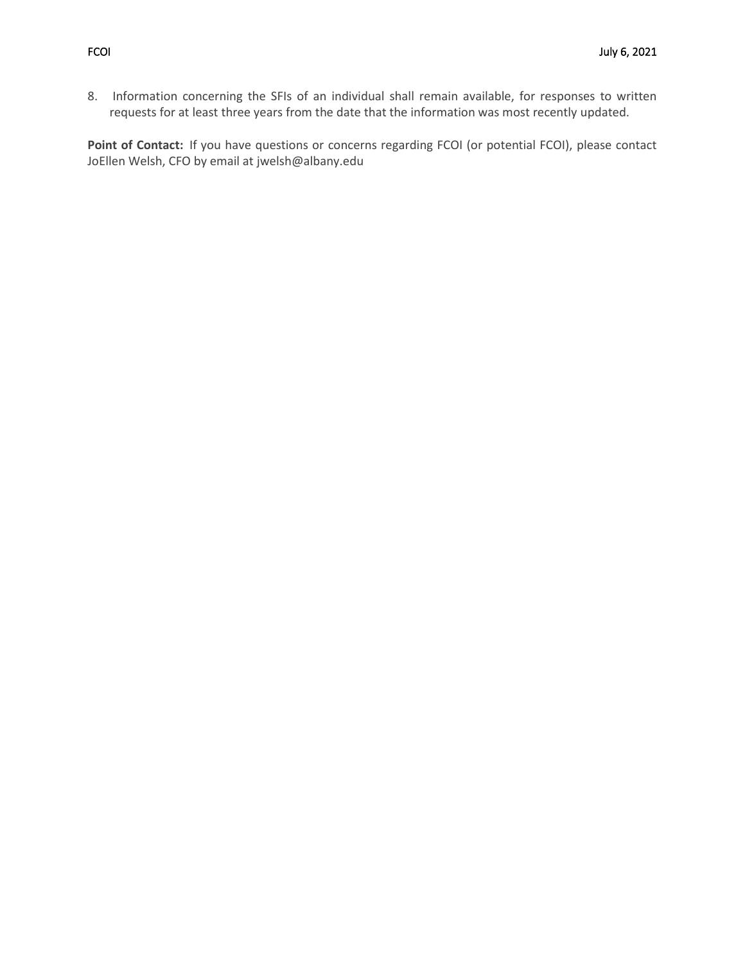8. Information concerning the SFIs of an individual shall remain available, for responses to written requests for at least three years from the date that the information was most recently updated.

**Point of Contact:** If you have questions or concerns regarding FCOI (or potential FCOI), please contact JoEllen Welsh, CFO by email at jwelsh@albany.edu